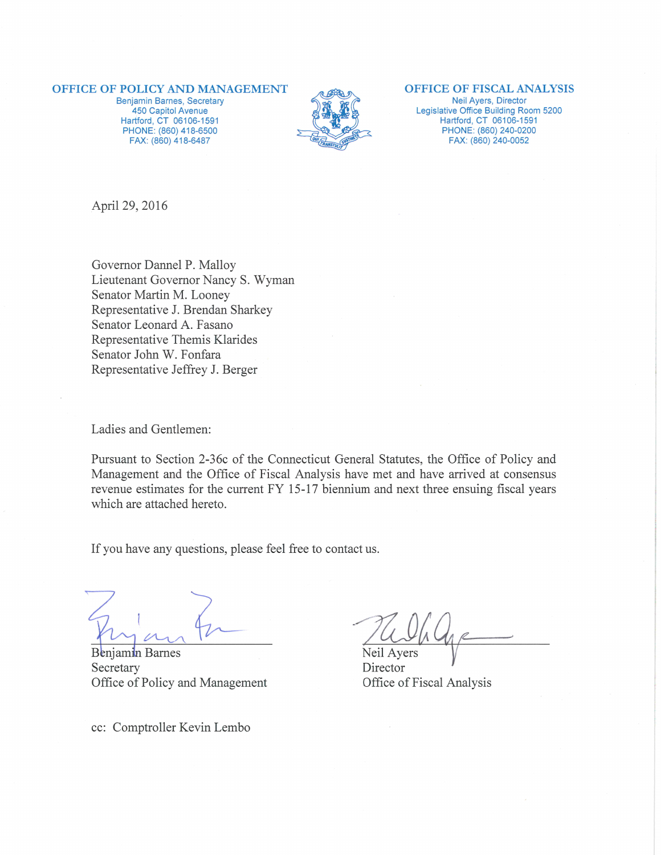#### **OFFICE OF POLICY AND MANAGEMENT**

Benjamin Barnes, Secretary 450 Capitol Avenue Hartford, CT 06106-1591 PHONE: (860) 418-6500 FAX: (860) 418-6487



#### **OFFICE OF FISCAL ANALYSIS**

Neil Ayers, Director Legislative Office Building Room 5200 Hartford, CT 06106-1591 PHONE: (860) 240-0200 FAX: (860) 240-0052

April 29, 2016

Governor Dannel P. Malloy Lieutenant Governor Nancy S. Wyman Senator Martin M. Looney Representative J. Brendan Sharkey Senator Leonard A. Fasano Representative Themis Klarides Senator John W. Fonfara Representative Jeffrey J. Berger

Ladies and Gentlemen:

Pursuant to Section 2-36c of the Connecticut General Statutes, the Office of Policy and Management and the Office of Fiscal Analysis have met and have arrived at consensus revenue estimates for the current FY 15-17 biennium and next three ensuing fiscal years which are attached hereto.

If you have any questions, please feel free to contact us.

Benjamin Barnes Secretary Office of Policy and Management

cc: Comptroller Kevin Lembo

Neil Ayers

Director Office of Fiscal Analysis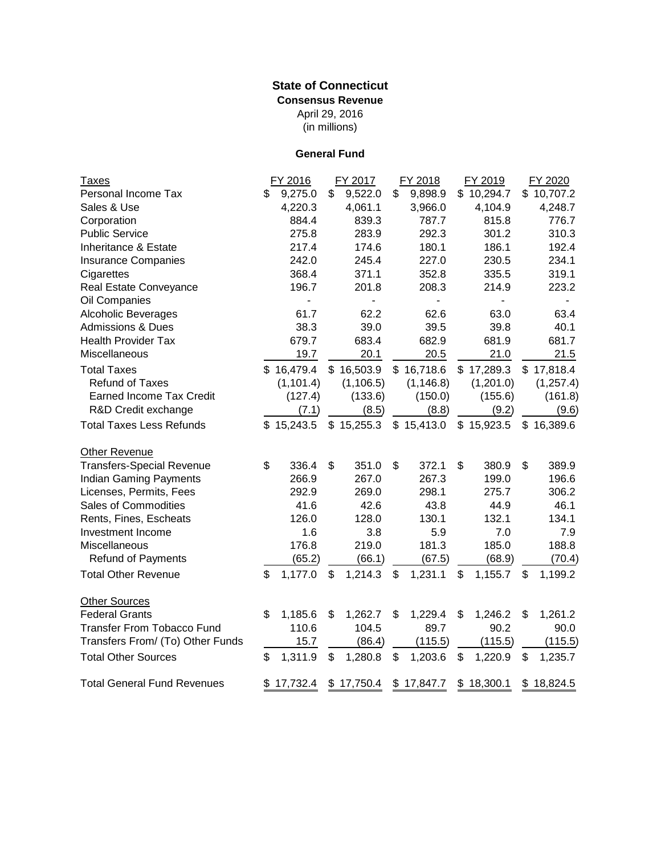## (in millions) **State of Connecticut Consensus Revenue** April 29, 2016

# **General Fund**

| <b>Taxes</b>                       | FY 2016       | FY 2017                  | FY 2018        | FY 2019       | FY 2020        |
|------------------------------------|---------------|--------------------------|----------------|---------------|----------------|
| Personal Income Tax                | \$<br>9,275.0 | \$<br>9,522.0            | \$<br>9,898.9  | \$10,294.7    | \$10,707.2     |
| Sales & Use                        | 4,220.3       | 4,061.1                  | 3,966.0        | 4,104.9       | 4,248.7        |
| Corporation                        | 884.4         | 839.3                    | 787.7          | 815.8         | 776.7          |
| <b>Public Service</b>              | 275.8         | 283.9                    | 292.3          | 301.2         | 310.3          |
| Inheritance & Estate               | 217.4         | 174.6                    | 180.1          | 186.1         | 192.4          |
| <b>Insurance Companies</b>         | 242.0         | 245.4                    | 227.0          | 230.5         | 234.1          |
| Cigarettes                         | 368.4         | 371.1                    | 352.8          | 335.5         | 319.1          |
| Real Estate Conveyance             | 196.7         | 201.8                    | 208.3          | 214.9         | 223.2          |
| Oil Companies                      |               | $\overline{\phantom{0}}$ | $\blacksquare$ |               | $\blacksquare$ |
| <b>Alcoholic Beverages</b>         | 61.7          | 62.2                     | 62.6           | 63.0          | 63.4           |
| <b>Admissions &amp; Dues</b>       | 38.3          | 39.0                     | 39.5           | 39.8          | 40.1           |
| <b>Health Provider Tax</b>         | 679.7         | 683.4                    | 682.9          | 681.9         | 681.7          |
| Miscellaneous                      | 19.7          | 20.1                     | 20.5           | 21.0          | 21.5           |
| <b>Total Taxes</b>                 | \$16,479.4    | \$16,503.9               | \$16,718.6     | \$17,289.3    | \$17,818.4     |
| <b>Refund of Taxes</b>             | (1, 101.4)    | (1, 106.5)               | (1, 146.8)     | (1,201.0)     | (1, 257.4)     |
| <b>Earned Income Tax Credit</b>    | (127.4)       | (133.6)                  | (150.0)        | (155.6)       | (161.8)        |
| R&D Credit exchange                | (7.1)         | (8.5)                    | (8.8)          | (9.2)         | (9.6)          |
| <b>Total Taxes Less Refunds</b>    | \$15,243.5    | \$15,255.3               | \$15,413.0     | \$15,923.5    | \$16,389.6     |
| Other Revenue                      |               |                          |                |               |                |
| <b>Transfers-Special Revenue</b>   | \$<br>336.4   | \$<br>351.0              | \$<br>372.1    | \$<br>380.9   | \$<br>389.9    |
| Indian Gaming Payments             | 266.9         | 267.0                    | 267.3          | 199.0         | 196.6          |
| Licenses, Permits, Fees            | 292.9         | 269.0                    | 298.1          | 275.7         | 306.2          |
| Sales of Commodities               | 41.6          | 42.6                     | 43.8           | 44.9          | 46.1           |
| Rents, Fines, Escheats             | 126.0         | 128.0                    | 130.1          | 132.1         | 134.1          |
| Investment Income                  | 1.6           | 3.8                      | 5.9            | 7.0           | 7.9            |
| Miscellaneous                      | 176.8         | 219.0                    | 181.3          | 185.0         | 188.8          |
| Refund of Payments                 | (65.2)        | (66.1)                   | (67.5)         | (68.9)        | (70.4)         |
| <b>Total Other Revenue</b>         | \$<br>1,177.0 | \$<br>1,214.3            | \$<br>1,231.1  | \$<br>1,155.7 | \$<br>1,199.2  |
| <b>Other Sources</b>               |               |                          |                |               |                |
| <b>Federal Grants</b>              | \$<br>1,185.6 | \$<br>1,262.7            | \$<br>1,229.4  | \$<br>1,246.2 | \$<br>1,261.2  |
| <b>Transfer From Tobacco Fund</b>  | 110.6         | 104.5                    | 89.7           | 90.2          | 90.0           |
| Transfers From/ (To) Other Funds   | 15.7          | (86.4)                   | (115.5)        | (115.5)       | (115.5)        |
| <b>Total Other Sources</b>         | \$<br>1,311.9 | \$<br>1,280.8            | \$<br>1,203.6  | \$<br>1,220.9 | \$<br>1,235.7  |
| <b>Total General Fund Revenues</b> | \$17,732.4    | \$17,750.4               | \$17,847.7     | \$18,300.1    | \$18,824.5     |